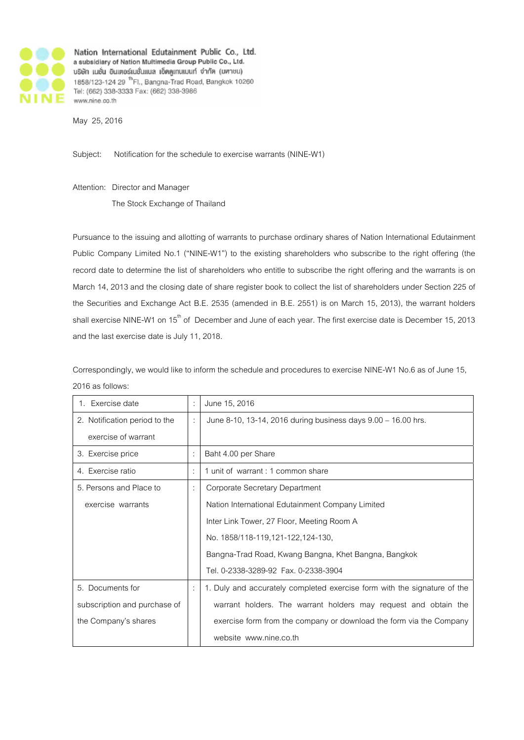

Nation International Edutainment Public Co., Ltd. a subsidiary of Nation Multimedia Group Public Co., Ltd. บริษัท เนชั่น อินเตอร์เนชั่นแนล เอ็ดดูเทนแบนท์ จำกัด (มหาชน) 1858/123-124 29 <sup>th</sup> Fl., Bangna-Trad Road, Bangkok 10260 Tel: (662) 338-3333 Fax: (662) 338-3986 www.nine.co.th

May 25, 2016

Subject: Notification for the schedule to exercise warrants (NINE-W1)

Attention: Director and Manager

The Stock Exchange of Thailand

Pursuance to the issuing and allotting of warrants to purchase ordinary shares of Nation International Edutainment Public Company Limited No.1 ("NINE-W1") to the existing shareholders who subscribe to the right offering (the record date to determine the list of shareholders who entitle to subscribe the right offering and the warrants is on March 14, 2013 and the closing date of share register book to collect the list of shareholders under Section 225 of the Securities and Exchange Act B.E. 2535 (amended in B.E. 2551) is on March 15, 2013), the warrant holders shall exercise NINE-W1 on 15<sup>th</sup> of December and June of each year. The first exercise date is December 15, 2013 and the last exercise date is July 11, 2018.

Correspondingly, we would like to inform the schedule and procedures to exercise NINE-W1 No.6 as of June 15, 2016 as follows:

| 1. Exercise date              |   | June 15, 2016                                                            |
|-------------------------------|---|--------------------------------------------------------------------------|
| 2. Notification period to the |   | June 8-10, 13-14, 2016 during business days 9.00 - 16.00 hrs.            |
| exercise of warrant           |   |                                                                          |
| 3. Exercise price             |   | Baht 4.00 per Share                                                      |
| 4. Exercise ratio             | ÷ | 1 unit of warrant : 1 common share                                       |
| 5. Persons and Place to       | ÷ | Corporate Secretary Department                                           |
| exercise warrants             |   | Nation International Edutainment Company Limited                         |
|                               |   | Inter Link Tower, 27 Floor, Meeting Room A                               |
|                               |   | No. 1858/118-119,121-122,124-130,                                        |
|                               |   | Bangna-Trad Road, Kwang Bangna, Khet Bangna, Bangkok                     |
|                               |   | Tel. 0-2338-3289-92 Fax. 0-2338-3904                                     |
| 5. Documents for              | ÷ | 1. Duly and accurately completed exercise form with the signature of the |
| subscription and purchase of  |   | warrant holders. The warrant holders may request and obtain the          |
| the Company's shares          |   | exercise form from the company or download the form via the Company      |
|                               |   | website www.nine.co.th                                                   |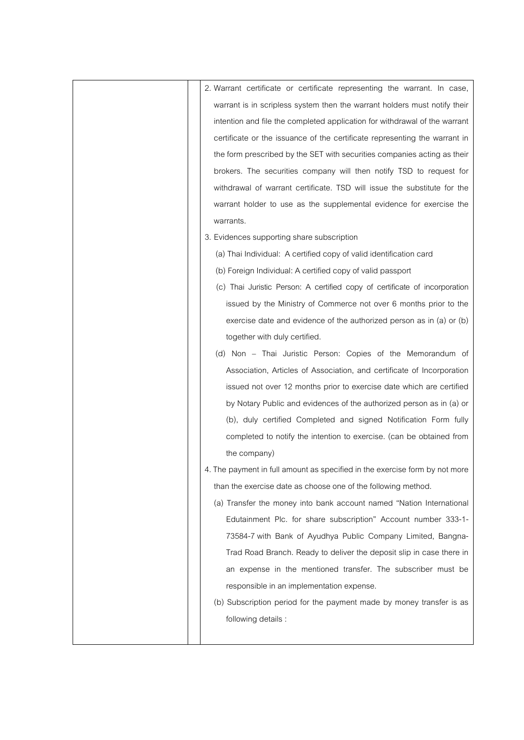| 2. Warrant certificate or certificate representing the warrant. In case,    |
|-----------------------------------------------------------------------------|
| warrant is in scripless system then the warrant holders must notify their   |
| intention and file the completed application for withdrawal of the warrant  |
| certificate or the issuance of the certificate representing the warrant in  |
| the form prescribed by the SET with securities companies acting as their    |
| brokers. The securities company will then notify TSD to request for         |
| withdrawal of warrant certificate. TSD will issue the substitute for the    |
| warrant holder to use as the supplemental evidence for exercise the         |
| warrants.                                                                   |
| 3. Evidences supporting share subscription                                  |
| (a) Thai Individual: A certified copy of valid identification card          |
| (b) Foreign Individual: A certified copy of valid passport                  |
| (c) Thai Juristic Person: A certified copy of certificate of incorporation  |
| issued by the Ministry of Commerce not over 6 months prior to the           |
| exercise date and evidence of the authorized person as in (a) or (b)        |
| together with duly certified.                                               |
| (d) Non - Thai Juristic Person: Copies of the Memorandum of                 |
| Association, Articles of Association, and certificate of Incorporation      |
| issued not over 12 months prior to exercise date which are certified        |
| by Notary Public and evidences of the authorized person as in (a) or        |
| (b), duly certified Completed and signed Notification Form fully            |
| completed to notify the intention to exercise. (can be obtained from        |
| the company)                                                                |
| 4. The payment in full amount as specified in the exercise form by not more |
| than the exercise date as choose one of the following method.               |
| (a) Transfer the money into bank account named "Nation International        |
| Edutainment Plc. for share subscription" Account number 333-1-              |
| 73584-7 with Bank of Ayudhya Public Company Limited, Bangna-                |
| Trad Road Branch. Ready to deliver the deposit slip in case there in        |
| an expense in the mentioned transfer. The subscriber must be                |
| responsible in an implementation expense.                                   |
| (b) Subscription period for the payment made by money transfer is as        |
| following details :                                                         |
|                                                                             |